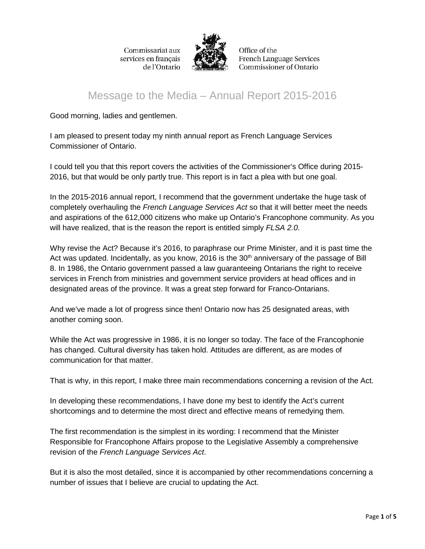

Office of the French Language Services **Commissioner of Ontario** 

# Message to the Media – Annual Report 2015-2016

Good morning, ladies and gentlemen.

I am pleased to present today my ninth annual report as French Language Services Commissioner of Ontario.

I could tell you that this report covers the activities of the Commissioner's Office during 2015- 2016, but that would be only partly true. This report is in fact a plea with but one goal.

In the 2015-2016 annual report, I recommend that the government undertake the huge task of completely overhauling the *French Language Services Act* so that it will better meet the needs and aspirations of the 612,000 citizens who make up Ontario's Francophone community. As you will have realized, that is the reason the report is entitled simply *FLSA 2.0*.

Why revise the Act? Because it's 2016, to paraphrase our Prime Minister, and it is past time the Act was updated. Incidentally, as you know, 2016 is the 30<sup>th</sup> anniversary of the passage of Bill 8. In 1986, the Ontario government passed a law guaranteeing Ontarians the right to receive services in French from ministries and government service providers at head offices and in designated areas of the province. It was a great step forward for Franco-Ontarians.

And we've made a lot of progress since then! Ontario now has 25 designated areas, with another coming soon.

While the Act was progressive in 1986, it is no longer so today. The face of the Francophonie has changed. Cultural diversity has taken hold. Attitudes are different, as are modes of communication for that matter.

That is why, in this report, I make three main recommendations concerning a revision of the Act.

In developing these recommendations, I have done my best to identify the Act's current shortcomings and to determine the most direct and effective means of remedying them.

The first recommendation is the simplest in its wording: I recommend that the Minister Responsible for Francophone Affairs propose to the Legislative Assembly a comprehensive revision of the *French Language Services Act*.

But it is also the most detailed, since it is accompanied by other recommendations concerning a number of issues that I believe are crucial to updating the Act.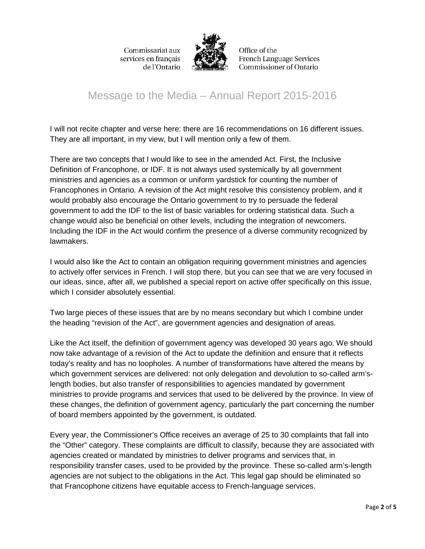

Office of the **French Language Services** Commissioner of Ontario

## Message to the Media – Annual Report 2015-2016

I will not recite chapter and verse here: there are 16 recommendations on 16 different issues. They are all important, in my view, but I will mention only a few of them.

There are two concepts that I would like to see in the amended Act. First, the Inclusive Definition of Francophone, or IDF. It is not always used systemically by all government ministries and agencies as a common or uniform yardstick for counting the number of Francophones in Ontario. A revision of the Act might resolve this consistency problem, and it would probably also encourage the Ontario government to try to persuade the federal government to add the IDF to the list of basic variables for ordering statistical data. Such a change would also be beneficial on other levels, including the integration of newcomers. Including the IDF in the Act would confirm the presence of a diverse community recognized by lawmakers.

I would also like the Act to contain an obligation requiring government ministries and agencies to actively offer services in French. I will stop there, but you can see that we are very focused in our ideas, since, after all, we published a special report on active offer specifically on this issue, which I consider absolutely essential.

Two large pieces of these issues that are by no means secondary but which I combine under the heading "revision of the Act", are government agencies and designation of areas.

Like the Act itself, the definition of government agency was developed 30 years ago. We should now take advantage of a revision of the Act to update the definition and ensure that it reflects today's reality and has no loopholes. A number of transformations have altered the means by which government services are delivered: not only delegation and devolution to so-called arm'slength bodies, but also transfer of responsibilities to agencies mandated by government ministries to provide programs and services that used to be delivered by the province. In view of these changes, the definition of government agency, particularly the part concerning the number of board members appointed by the government, is outdated.

Every year, the Commissioner's Office receives an average of 25 to 30 complaints that fall into the "Other" category. These complaints are difficult to classify, because they are associated with agencies created or mandated by ministries to deliver programs and services that, in responsibility transfer cases, used to be provided by the province. These so-called arm's-length agencies are not subject to the obligations in the Act. This legal gap should be eliminated so that Francophone citizens have equitable access to French-language services.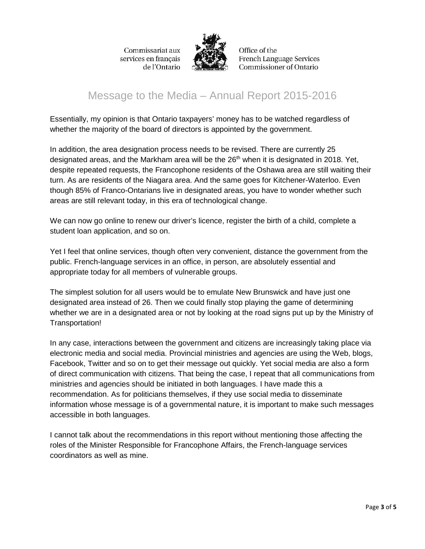

Office of the **French Language Services Commissioner of Ontario** 

## Message to the Media – Annual Report 2015-2016

Essentially, my opinion is that Ontario taxpayers' money has to be watched regardless of whether the majority of the board of directors is appointed by the government.

In addition, the area designation process needs to be revised. There are currently 25 designated areas, and the Markham area will be the 26<sup>th</sup> when it is designated in 2018. Yet, despite repeated requests, the Francophone residents of the Oshawa area are still waiting their turn. As are residents of the Niagara area. And the same goes for Kitchener-Waterloo. Even though 85% of Franco-Ontarians live in designated areas, you have to wonder whether such areas are still relevant today, in this era of technological change.

We can now go online to renew our driver's licence, register the birth of a child, complete a student loan application, and so on.

Yet I feel that online services, though often very convenient, distance the government from the public. French-language services in an office, in person, are absolutely essential and appropriate today for all members of vulnerable groups.

The simplest solution for all users would be to emulate New Brunswick and have just one designated area instead of 26. Then we could finally stop playing the game of determining whether we are in a designated area or not by looking at the road signs put up by the Ministry of Transportation!

In any case, interactions between the government and citizens are increasingly taking place via electronic media and social media. Provincial ministries and agencies are using the Web, blogs, Facebook, Twitter and so on to get their message out quickly. Yet social media are also a form of direct communication with citizens. That being the case, I repeat that all communications from ministries and agencies should be initiated in both languages. I have made this a recommendation. As for politicians themselves, if they use social media to disseminate information whose message is of a governmental nature, it is important to make such messages accessible in both languages.

I cannot talk about the recommendations in this report without mentioning those affecting the roles of the Minister Responsible for Francophone Affairs, the French-language services coordinators as well as mine.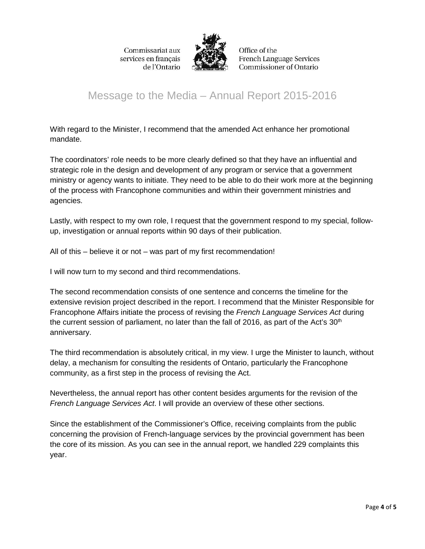

Office of the **French Language Services** Commissioner of Ontario

# Message to the Media – Annual Report 2015-2016

With regard to the Minister, I recommend that the amended Act enhance her promotional mandate.

The coordinators' role needs to be more clearly defined so that they have an influential and strategic role in the design and development of any program or service that a government ministry or agency wants to initiate. They need to be able to do their work more at the beginning of the process with Francophone communities and within their government ministries and agencies.

Lastly, with respect to my own role, I request that the government respond to my special, followup, investigation or annual reports within 90 days of their publication.

All of this – believe it or not – was part of my first recommendation!

I will now turn to my second and third recommendations.

The second recommendation consists of one sentence and concerns the timeline for the extensive revision project described in the report. I recommend that the Minister Responsible for Francophone Affairs initiate the process of revising the *French Language Services Act* during the current session of parliament, no later than the fall of 2016, as part of the Act's  $30<sup>th</sup>$ anniversary.

The third recommendation is absolutely critical, in my view. I urge the Minister to launch, without delay, a mechanism for consulting the residents of Ontario, particularly the Francophone community, as a first step in the process of revising the Act.

Nevertheless, the annual report has other content besides arguments for the revision of the *French Language Services Act*. I will provide an overview of these other sections.

Since the establishment of the Commissioner's Office, receiving complaints from the public concerning the provision of French-language services by the provincial government has been the core of its mission. As you can see in the annual report, we handled 229 complaints this year.